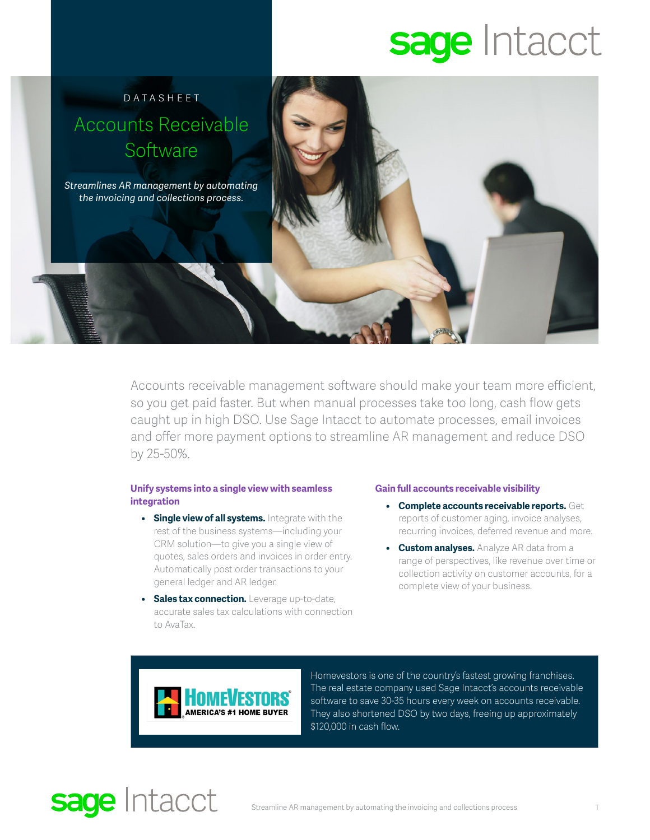# sage Intacct



Accounts receivable management software should make your team more efficient, so you get paid faster. But when manual processes take too long, cash flow gets caught up in high DSO. Use Sage Intacct to automate processes, email invoices and offer more payment options to streamline AR management and reduce DSO by 25-50%.

### **Unify systems into a single view with seamless integration**

- **• Single view of all systems.** Integrate with the rest of the business systems—including your CRM solution—to give you a single view of quotes, sales orders and invoices in order entry. Automatically post order transactions to your general ledger and AR ledger.
- **• Sales tax connection.** Leverage up-to-date, accurate sales tax calculations with connection to AvaTax.

#### **Gain full accounts receivable visibility**

- **• Complete accounts receivable reports.** Get reports of customer aging, invoice analyses, recurring invoices, deferred revenue and more.
- **• Custom analyses.** Analyze AR data from a range of perspectives, like revenue over time or collection activity on customer accounts, for a complete view of your business.



Homevestors is one of the country's fastest growing franchises. The real estate company used Sage Intacct's accounts receivable software to save 30-35 hours every week on accounts receivable. They also shortened DSO by two days, freeing up approximately \$120,000 in cash flow.